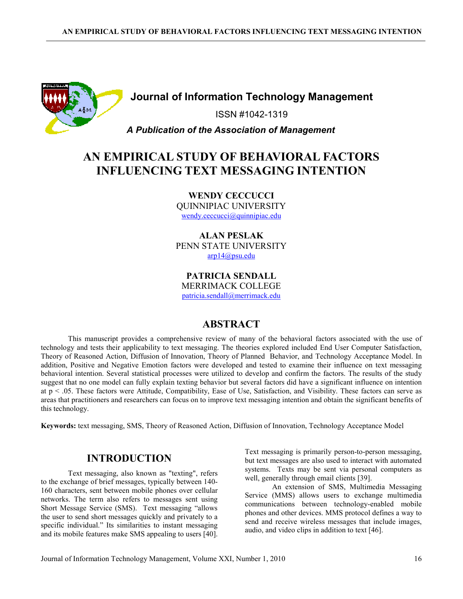

## Journal of Information Technology Management

ISSN #1042-1319

### A Publication of the Association of Management

# AN EMPIRICAL STUDY OF BEHAVIORAL FACTORS INFLUENCING TEXT MESSAGING INTENTION

WENDY CECCUCCI QUINNIPIAC UNIVERSITY wendy.ceccucci@quinnipiac.edu

ALAN PESLAK PENN STATE UNIVERSITY arp14@psu.edu

PATRICIA SENDALL MERRIMACK COLLEGE patricia.sendall@merrimack.edu

## ABSTRACT

This manuscript provides a comprehensive review of many of the behavioral factors associated with the use of technology and tests their applicability to text messaging. The theories explored included End User Computer Satisfaction, Theory of Reasoned Action, Diffusion of Innovation, Theory of Planned Behavior, and Technology Acceptance Model. In addition, Positive and Negative Emotion factors were developed and tested to examine their influence on text messaging behavioral intention. Several statistical processes were utilized to develop and confirm the factors. The results of the study suggest that no one model can fully explain texting behavior but several factors did have a significant influence on intention at p < .05. These factors were Attitude, Compatibility, Ease of Use, Satisfaction, and Visibility. These factors can serve as areas that practitioners and researchers can focus on to improve text messaging intention and obtain the significant benefits of this technology.

Keywords: text messaging, SMS, Theory of Reasoned Action, Diffusion of Innovation, Technology Acceptance Model

## INTRODUCTION

Text messaging, also known as "texting", refers to the exchange of brief messages, typically between 140- 160 characters, sent between mobile phones over cellular networks. The term also refers to messages sent using Short Message Service (SMS). Text messaging "allows the user to send short messages quickly and privately to a specific individual." Its similarities to instant messaging and its mobile features make SMS appealing to users [40].

Text messaging is primarily person-to-person messaging, but text messages are also used to interact with automated systems. Texts may be sent via personal computers as well, generally through email clients [39].

An extension of SMS, Multimedia Messaging Service (MMS) allows users to exchange multimedia communications between technology-enabled mobile phones and other devices. MMS protocol defines a way to send and receive wireless messages that include images, audio, and video clips in addition to text [46].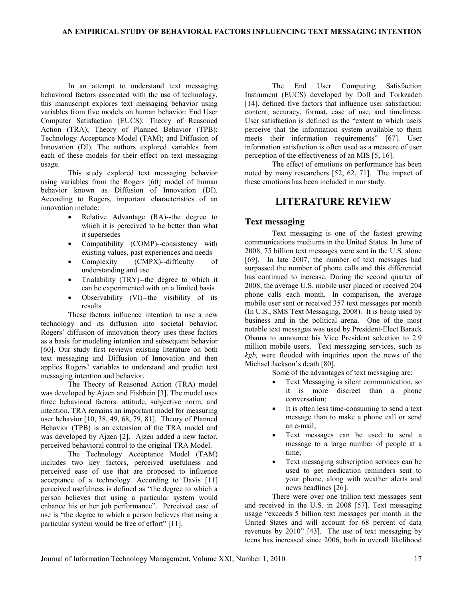In an attempt to understand text messaging behavioral factors associated with the use of technology, this manuscript explores text messaging behavior using variables from five models on human behavior: End User Computer Satisfaction (EUCS); Theory of Reasoned Action (TRA); Theory of Planned Behavior (TPB); Technology Acceptance Model (TAM); and Diffusion of Innovation (DI). The authors explored variables from each of these models for their effect on text messaging usage.

This study explored text messaging behavior using variables from the Rogers [60] model of human behavior known as Diffusion of Innovation (DI). According to Rogers, important characteristics of an innovation include:

- Relative Advantage (RA)--the degree to which it is perceived to be better than what it supersedes
- Compatibility (COMP)--consistency with existing values, past experiences and needs
- Complexity (CMPX)--difficulty of understanding and use
- Trialability (TRY)--the degree to which it can be experimented with on a limited basis
- Observability (VI)--the visibility of its results

These factors influence intention to use a new technology and its diffusion into societal behavior. Rogers' diffusion of innovation theory uses these factors as a basis for modeling intention and subsequent behavior [60]. Our study first reviews existing literature on both text messaging and Diffusion of Innovation and then applies Rogers' variables to understand and predict text messaging intention and behavior.

The Theory of Reasoned Action (TRA) model was developed by Ajzen and Fishbein [3]. The model uses three behavioral factors: attitude, subjective norm, and intention. TRA remains an important model for measuring user behavior [10, 38, 49, 68, 79, 81]. Theory of Planned Behavior (TPB) is an extension of the TRA model and was developed by Ajzen [2]. Ajzen added a new factor, perceived behavioral control to the original TRA Model.

The Technology Acceptance Model (TAM) includes two key factors, perceived usefulness and perceived ease of use that are proposed to influence acceptance of a technology. According to Davis [11] perceived usefulness is defined as "the degree to which a person believes that using a particular system would enhance his or her job performance". Perceived ease of use is "the degree to which a person believes that using a particular system would be free of effort" [11].

The End User Computing Satisfaction Instrument (EUCS) developed by Doll and Torkzadeh [14], defined five factors that influence user satisfaction: content, accuracy, format, ease of use, and timeliness. User satisfaction is defined as the "extent to which users perceive that the information system available to them meets their information requirements" [67]. User information satisfaction is often used as a measure of user perception of the effectiveness of an MIS [5, 16].

The effect of emotions on performance has been noted by many researchers [52, 62, 71]. The impact of these emotions has been included in our study.

## LITERATURE REVIEW

### Text messaging

Text messaging is one of the fastest growing communications mediums in the United States. In June of 2008, 75 billion text messages were sent in the U.S. alone [69]. In late 2007, the number of text messages had surpassed the number of phone calls and this differential has continued to increase. During the second quarter of 2008, the average U.S. mobile user placed or received 204 phone calls each month. In comparison, the average mobile user sent or received 357 text messages per month (In U.S., SMS Text Messaging, 2008). It is being used by business and in the political arena. One of the most notable text messages was used by President-Elect Barack Obama to announce his Vice President selection to 2.9 million mobile users. Text messaging services, such as kgb, were flooded with inquiries upon the news of the Michael Jackson's death [80].

Some of the advantages of text messaging are:

- Text Messaging is silent communication, so it is more discreet than a phone conversation;
- It is often less time-consuming to send a text message than to make a phone call or send an e-mail;
- Text messages can be used to send a message to a large number of people at a time;
- Text messaging subscription services can be used to get medication reminders sent to your phone, along with weather alerts and news headlines [26].

There were over one trillion text messages sent and received in the U.S. in 2008 [57]. Text messaging usage "exceeds 5 billion text messages per month in the United States and will account for 68 percent of data revenues by 2010" [43]. The use of text messaging by teens has increased since 2006, both in overall likelihood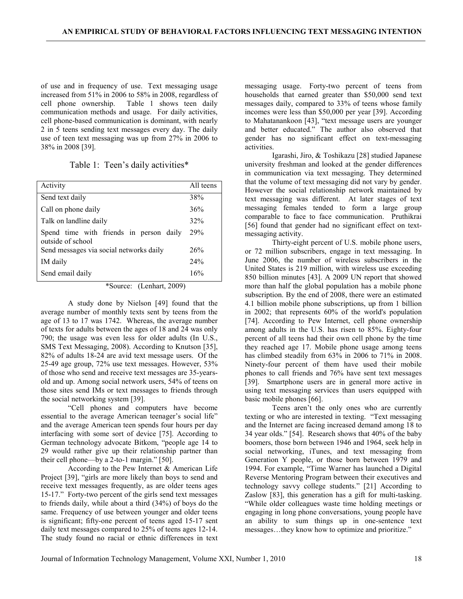of use and in frequency of use. Text messaging usage increased from 51% in 2006 to 58% in 2008, regardless of cell phone ownership. Table 1 shows teen daily communication methods and usage. For daily activities, cell phone-based communication is dominant, with nearly 2 in 5 teens sending text messages every day. The daily use of teen text messaging was up from 27% in 2006 to 38% in 2008 [39].

Table 1: Teen's daily activities\*

| Activity                                                     | All teens |
|--------------------------------------------------------------|-----------|
| Send text daily                                              | 38%       |
| Call on phone daily                                          | 36%       |
| Talk on landline daily                                       | 32%       |
| Spend time with friends in person daily<br>outside of school | 29%       |
| Send messages via social networks daily                      | 26%       |
| IM daily                                                     | 24%       |
| Send email daily                                             | 16%       |

\*Source: (Lenhart, 2009)

A study done by Nielson [49] found that the average number of monthly texts sent by teens from the age of 13 to 17 was 1742. Whereas, the average number of texts for adults between the ages of 18 and 24 was only 790; the usage was even less for older adults (In U.S., SMS Text Messaging, 2008). According to Knutson [35], 82% of adults 18-24 are avid text message users. Of the 25-49 age group, 72% use text messages. However, 53% of those who send and receive text messages are 35-yearsold and up. Among social network users, 54% of teens on those sites send IMs or text messages to friends through the social networking system [39].

"Cell phones and computers have become essential to the average American teenager's social life" and the average American teen spends four hours per day interfacing with some sort of device [75]. According to German technology advocate Bitkom, "people age 14 to 29 would rather give up their relationship partner than their cell phone—by a 2-to-1 margin." [50].

According to the Pew Internet & American Life Project [39], "girls are more likely than boys to send and receive text messages frequently, as are older teens ages 15-17." Forty-two percent of the girls send text messages to friends daily, while about a third (34%) of boys do the same. Frequency of use between younger and older teens is significant; fifty-one percent of teens aged 15-17 sent daily text messages compared to 25% of teens ages 12-14. The study found no racial or ethnic differences in text

messaging usage. Forty-two percent of teens from households that earned greater than \$50,000 send text messages daily, compared to 33% of teens whose family incomes were less than \$50,000 per year [39]. According to Mahatanankoon [43], "text message users are younger and better educated." The author also observed that gender has no significant effect on text-messaging activities.

Igarashi, Jiro, & Toshikazu [28] studied Japanese university freshman and looked at the gender differences in communication via text messaging. They determined that the volume of text messaging did not vary by gender. However the social relationship network maintained by text messaging was different. At later stages of text messaging females tended to form a large group comparable to face to face communication. Pruthikrai [56] found that gender had no significant effect on textmessaging activity.

Thirty-eight percent of U.S. mobile phone users, or 72 million subscribers, engage in text messaging. In June 2006, the number of wireless subscribers in the United States is 219 million, with wireless use exceeding 850 billion minutes [43]. A 2009 UN report that showed more than half the global population has a mobile phone subscription. By the end of 2008, there were an estimated 4.1 billion mobile phone subscriptions, up from 1 billion in 2002; that represents 60% of the world's population [74]. According to Pew Internet, cell phone ownership among adults in the U.S. has risen to 85%. Eighty-four percent of all teens had their own cell phone by the time they reached age 17. Mobile phone usage among teens has climbed steadily from 63% in 2006 to 71% in 2008. Ninety-four percent of them have used their mobile phones to call friends and 76% have sent text messages [39]. Smartphone users are in general more active in using text messaging services than users equipped with basic mobile phones [66].

Teens aren't the only ones who are currently texting or who are interested in texting. "Text messaging and the Internet are facing increased demand among 18 to 34 year olds." [54]. Research shows that 40% of the baby boomers, those born between 1946 and 1964, seek help in social networking, iTunes, and text messaging from Generation Y people, or those born between 1979 and 1994. For example, "Time Warner has launched a Digital Reverse Mentoring Program between their executives and technology savvy college students." [21] According to Zaslow [83], this generation has a gift for multi-tasking. "While older colleagues waste time holding meetings or engaging in long phone conversations, young people have an ability to sum things up in one-sentence text messages…they know how to optimize and prioritize."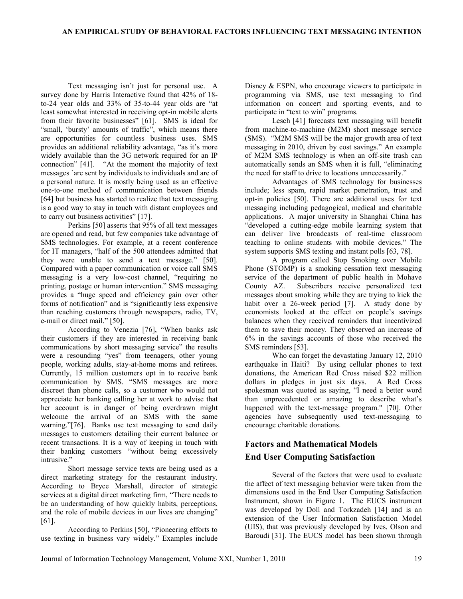Text messaging isn't just for personal use. A survey done by Harris Interactive found that 42% of 18 to-24 year olds and 33% of 35-to-44 year olds are "at least somewhat interested in receiving opt-in mobile alerts from their favorite businesses" [61]. SMS is ideal for "small, 'bursty' amounts of traffic", which means there are opportunities for countless business uses. SMS provides an additional reliability advantage, "as it's more widely available than the 3G network required for an IP connection" [41]. "At the moment the majority of text "At the moment the majority of text messages `are sent by individuals to individuals and are of a personal nature. It is mostly being used as an effective one-to-one method of communication between friends [64] but business has started to realize that text messaging is a good way to stay in touch with distant employees and to carry out business activities" [17].

Perkins [50] asserts that 95% of all text messages are opened and read, but few companies take advantage of SMS technologies. For example, at a recent conference for IT managers, "half of the 500 attendees admitted that they were unable to send a text message." [50]. Compared with a paper communication or voice call SMS messaging is a very low-cost channel, "requiring no printing, postage or human intervention." SMS messaging provides a "huge speed and efficiency gain over other forms of notification" and is "significantly less expensive than reaching customers through newspapers, radio, TV, e-mail or direct mail." [50].

According to Venezia [76], "When banks ask their customers if they are interested in receiving bank communications by short messaging service" the results were a resounding "yes" from teenagers, other young people, working adults, stay-at-home moms and retirees. Currently, 15 million customers opt in to receive bank communication by SMS. "SMS messages are more discreet than phone calls, so a customer who would not appreciate her banking calling her at work to advise that her account is in danger of being overdrawn might welcome the arrival of an SMS with the same warning."[76]. Banks use text messaging to send daily messages to customers detailing their current balance or recent transactions. It is a way of keeping in touch with their banking customers "without being excessively intrusive."

Short message service texts are being used as a direct marketing strategy for the restaurant industry. According to Bryce Marshall, director of strategic services at a digital direct marketing firm, "There needs to be an understanding of how quickly habits, perceptions, and the role of mobile devices in our lives are changing" [61].

According to Perkins [50], "Pioneering efforts to use texting in business vary widely." Examples include

Disney & ESPN, who encourage viewers to participate in programming via SMS, use text messaging to find information on concert and sporting events, and to participate in "text to win" programs.

Lesch [41] forecasts text messaging will benefit from machine-to-machine (M2M) short message service (SMS). "M2M SMS will be the major growth area of text messaging in 2010, driven by cost savings." An example of M2M SMS technology is when an off-site trash can automatically sends an SMS when it is full, "eliminating the need for staff to drive to locations unnecessarily."

Advantages of SMS technology for businesses include; less spam, rapid market penetration, trust and opt-in policies [50]. There are additional uses for text messaging including pedagogical, medical and charitable applications. A major university in Shanghai China has "developed a cutting-edge mobile learning system that can deliver live broadcasts of real-time classroom teaching to online students with mobile devices." The system supports SMS texting and instant polls [63, 78].

A program called Stop Smoking over Mobile Phone (STOMP) is a smoking cessation text messaging service of the department of public health in Mohave County AZ. Subscribers receive personalized text messages about smoking while they are trying to kick the habit over a 26-week period [7]. A study done by economists looked at the effect on people's savings balances when they received reminders that incentivized them to save their money. They observed an increase of 6% in the savings accounts of those who received the SMS reminders [53].

Who can forget the devastating January 12, 2010 earthquake in Haiti? By using cellular phones to text donations, the American Red Cross raised \$22 million dollars in pledges in just six days. A Red Cross spokesman was quoted as saying, "I need a better word than unprecedented or amazing to describe what's happened with the text-message program." [70]. Other agencies have subsequently used text-messaging to encourage charitable donations.

## Factors and Mathematical Models End User Computing Satisfaction

Several of the factors that were used to evaluate the affect of text messaging behavior were taken from the dimensions used in the End User Computing Satisfaction Instrument, shown in Figure 1. The EUCS instrument was developed by Doll and Torkzadeh [14] and is an extension of the User Information Satisfaction Model (UIS), that was previously developed by Ives, Olson and Baroudi [31]. The EUCS model has been shown through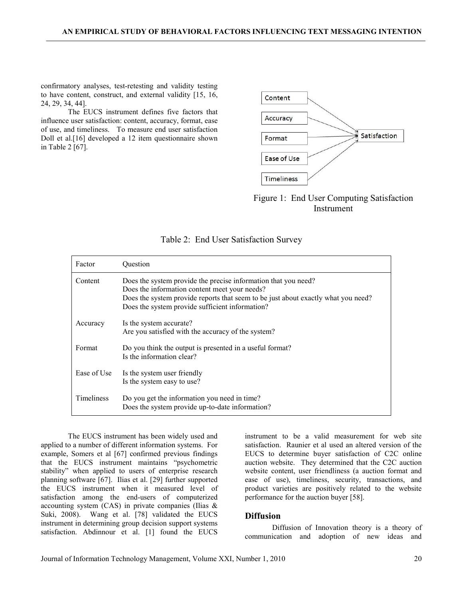confirmatory analyses, test-retesting and validity testing to have content, construct, and external validity [15, 16, 24, 29, 34, 44].

The EUCS instrument defines five factors that influence user satisfaction: content, accuracy, format, ease of use, and timeliness. To measure end user satisfaction Doll et al.[16] developed a 12 item questionnaire shown in Table 2 [67].



Figure 1: End User Computing Satisfaction Instrument

| Factor            | Ouestion                                                                                                                                                                                                                                                |
|-------------------|---------------------------------------------------------------------------------------------------------------------------------------------------------------------------------------------------------------------------------------------------------|
| Content           | Does the system provide the precise information that you need?<br>Does the information content meet your needs?<br>Does the system provide reports that seem to be just about exactly what you need?<br>Does the system provide sufficient information? |
| Accuracy          | Is the system accurate?<br>Are you satisfied with the accuracy of the system?                                                                                                                                                                           |
| Format            | Do you think the output is presented in a useful format?<br>Is the information clear?                                                                                                                                                                   |
| Ease of Use       | Is the system user friendly<br>Is the system easy to use?                                                                                                                                                                                               |
| <b>Timeliness</b> | Do you get the information you need in time?<br>Does the system provide up-to-date information?                                                                                                                                                         |

|  |  |  | Table 2: End User Satisfaction Survey |  |
|--|--|--|---------------------------------------|--|
|--|--|--|---------------------------------------|--|

The EUCS instrument has been widely used and applied to a number of different information systems. For example, Somers et al [67] confirmed previous findings that the EUCS instrument maintains "psychometric stability" when applied to users of enterprise research planning software [67]. Ilias et al. [29] further supported the EUCS instrument when it measured level of satisfaction among the end-users of computerized accounting system (CAS) in private companies (Ilias & Suki, 2008). Wang et al. [78] validated the EUCS instrument in determining group decision support systems satisfaction. Abdinnour et al. [1] found the EUCS

instrument to be a valid measurement for web site satisfaction. Raunier et al used an altered version of the EUCS to determine buyer satisfaction of C2C online auction website. They determined that the C2C auction website content, user friendliness (a auction format and ease of use), timeliness, security, transactions, and product varieties are positively related to the website performance for the auction buyer [58].

#### Diffusion

Diffusion of Innovation theory is a theory of communication and adoption of new ideas and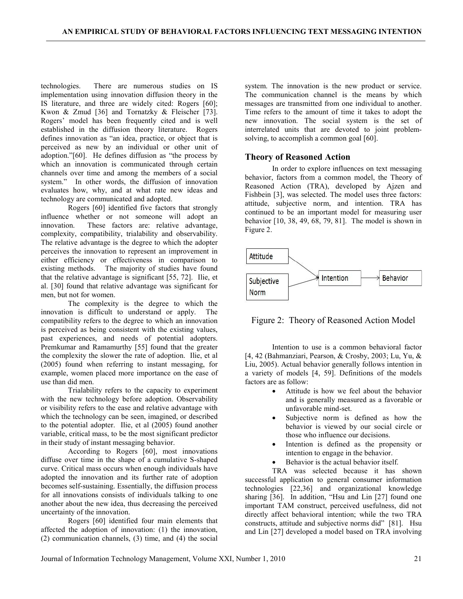technologies. There are numerous studies on IS implementation using innovation diffusion theory in the IS literature, and three are widely cited: Rogers [60]; Kwon & Zmud [36] and Tornatzky & Fleischer [73]. Rogers' model has been frequently cited and is well established in the diffusion theory literature. Rogers defines innovation as "an idea, practice, or object that is perceived as new by an individual or other unit of adoption."[60]. He defines diffusion as "the process by which an innovation is communicated through certain channels over time and among the members of a social system." In other words, the diffusion of innovation evaluates how, why, and at what rate new ideas and technology are communicated and adopted.

Rogers [60] identified five factors that strongly influence whether or not someone will adopt an innovation. These factors are: relative advantage, complexity, compatibility, trialability and observability. The relative advantage is the degree to which the adopter perceives the innovation to represent an improvement in either efficiency or effectiveness in comparison to existing methods. The majority of studies have found that the relative advantage is significant [55, 72]. Ilie, et al. [30] found that relative advantage was significant for men, but not for women.

The complexity is the degree to which the innovation is difficult to understand or apply. The compatibility refers to the degree to which an innovation is perceived as being consistent with the existing values, past experiences, and needs of potential adopters. Premkumar and Ramamurthy [55] found that the greater the complexity the slower the rate of adoption. Ilie, et al (2005) found when referring to instant messaging, for example, women placed more importance on the ease of use than did men.

Trialability refers to the capacity to experiment with the new technology before adoption. Observability or visibility refers to the ease and relative advantage with which the technology can be seen, imagined, or described to the potential adopter. Ilie, et al (2005) found another variable, critical mass, to be the most significant predictor in their study of instant messaging behavior.

According to Rogers [60], most innovations diffuse over time in the shape of a cumulative S-shaped curve. Critical mass occurs when enough individuals have adopted the innovation and its further rate of adoption becomes self-sustaining. Essentially, the diffusion process for all innovations consists of individuals talking to one another about the new idea, thus decreasing the perceived uncertainty of the innovation.

Rogers [60] identified four main elements that affected the adoption of innovation: (1) the innovation, (2) communication channels, (3) time, and (4) the social

system. The innovation is the new product or service. The communication channel is the means by which messages are transmitted from one individual to another. Time refers to the amount of time it takes to adopt the new innovation. The social system is the set of interrelated units that are devoted to joint problemsolving, to accomplish a common goal [60].

#### Theory of Reasoned Action

In order to explore influences on text messaging behavior, factors from a common model, the Theory of Reasoned Action (TRA), developed by Ajzen and Fishbein [3], was selected. The model uses three factors: attitude, subjective norm, and intention. TRA has continued to be an important model for measuring user behavior [10, 38, 49, 68, 79, 81]. The model is shown in Figure 2.



Figure 2: Theory of Reasoned Action Model

Intention to use is a common behavioral factor [4, 42 (Bahmanziari, Pearson, & Crosby, 2003; Lu, Yu, & Liu, 2005). Actual behavior generally follows intention in a variety of models [4, 59]. Definitions of the models factors are as follow:

- Attitude is how we feel about the behavior and is generally measured as a favorable or unfavorable mind-set.
- Subjective norm is defined as how the behavior is viewed by our social circle or those who influence our decisions.
- Intention is defined as the propensity or intention to engage in the behavior.
- Behavior is the actual behavior itself.

TRA was selected because it has shown successful application to general consumer information technologies [22,36] and organizational knowledge sharing [36]. In addition, "Hsu and Lin [27] found one important TAM construct, perceived usefulness, did not directly affect behavioral intention; while the two TRA constructs, attitude and subjective norms did" [81]. Hsu and Lin [27] developed a model based on TRA involving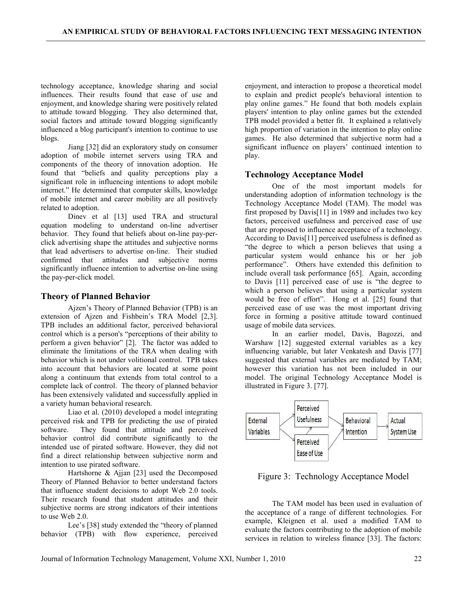technology acceptance, knowledge sharing and social influences. Their results found that ease of use and enjoyment, and knowledge sharing were positively related to attitude toward blogging. They also determined that, social factors and attitude toward blogging significantly influenced a blog participant's intention to continue to use blogs.

Jiang [32] did an exploratory study on consumer adoption of mobile internet servers using TRA and components of the theory of innovation adoption. He found that "beliefs and quality perceptions play a significant role in influencing intentions to adopt mobile internet." He determined that computer skills, knowledge of mobile internet and career mobility are all positively related to adoption.

Dinev et al [13] used TRA and structural equation modeling to understand on-line advertiser behavior. They found that beliefs about on-line pay-perclick advertising shape the attitudes and subjective norms that lead advertisers to advertise on-line. Their studied confirmed that attitudes and subjective norms significantly influence intention to advertise on-line using the pay-per-click model.

### Theory of Planned Behavior

Ajzen's Theory of Planned Behavior (TPB) is an extension of Ajzen and Fishbein's TRA Model [2,3]. TPB includes an additional factor, perceived behavioral control which is a person's "perceptions of their ability to perform a given behavior" [2]. The factor was added to eliminate the limitations of the TRA when dealing with behavior which is not under volitional control. TPB takes into account that behaviors are located at some point along a continuum that extends from total control to a complete lack of control. The theory of planned behavior has been extensively validated and successfully applied in a variety human behavioral research.

Liao et al. (2010) developed a model integrating perceived risk and TPB for predicting the use of pirated software. They found that attitude and perceived behavior control did contribute significantly to the intended use of pirated software. However, they did not find a direct relationship between subjective norm and intention to use pirated software.

Hartshorne & Ajjan [23] used the Decomposed Theory of Planned Behavior to better understand factors that influence student decisions to adopt Web 2.0 tools. Their research found that student attitudes and their subjective norms are strong indicators of their intentions to use Web 2.0.

Lee's [38] study extended the "theory of planned behavior (TPB) with flow experience, perceived

enjoyment, and interaction to propose a theoretical model to explain and predict people's behavioral intention to play online games." He found that both models explain players' intention to play online games but the extended TPB model provided a better fit. It explained a relatively high proportion of variation in the intention to play online games. He also determined that subjective norm had a significant influence on players' continued intention to play.

### Technology Acceptance Model

One of the most important models for understanding adoption of information technology is the Technology Acceptance Model (TAM). The model was first proposed by Davis[11] in 1989 and includes two key factors, perceived usefulness and perceived ease of use that are proposed to influence acceptance of a technology. According to Davis[11] perceived usefulness is defined as "the degree to which a person believes that using a particular system would enhance his or her job performance". Others have extended this definition to include overall task performance [65]. Again, according to Davis [11] perceived ease of use is "the degree to which a person believes that using a particular system would be free of effort". Hong et al. [25] found that perceived ease of use was the most important driving force in forming a positive attitude toward continued usage of mobile data services.

In an earlier model, Davis, Bagozzi, and Warshaw [12] suggested external variables as a key influencing variable, but later Venkatesh and Davis [77] suggested that external variables are mediated by TAM; however this variation has not been included in our model. The original Technology Acceptance Model is illustrated in Figure 3. [77].



Figure 3: Technology Acceptance Model

The TAM model has been used in evaluation of the acceptance of a range of different technologies. For example, Kleignen et al. used a modified TAM to evaluate the factors contributing to the adoption of mobile services in relation to wireless finance [33]. The factors: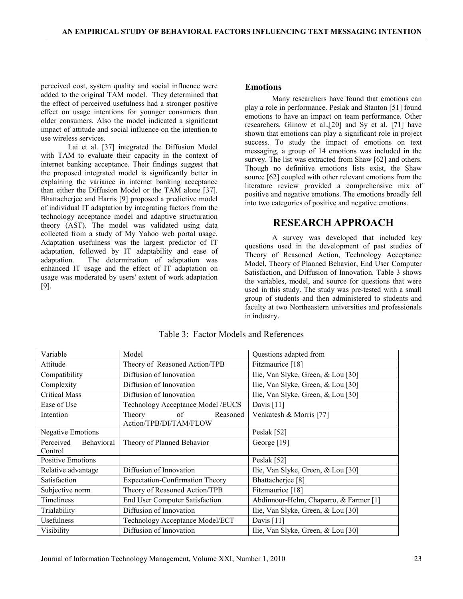perceived cost, system quality and social influence were added to the original TAM model. They determined that the effect of perceived usefulness had a stronger positive effect on usage intentions for younger consumers than older consumers. Also the model indicated a significant impact of attitude and social influence on the intention to use wireless services.

Lai et al. [37] integrated the Diffusion Model with TAM to evaluate their capacity in the context of internet banking acceptance. Their findings suggest that the proposed integrated model is significantly better in explaining the variance in internet banking acceptance than either the Diffusion Model or the TAM alone [37]. Bhattacherjee and Harris [9] proposed a predictive model of individual IT adaptation by integrating factors from the technology acceptance model and adaptive structuration theory (AST). The model was validated using data collected from a study of My Yahoo web portal usage. Adaptation usefulness was the largest predictor of IT adaptation, followed by IT adaptability and ease of adaptation. The determination of adaptation was enhanced IT usage and the effect of IT adaptation on usage was moderated by users' extent of work adaptation [9].

#### Emotions

Many researchers have found that emotions can play a role in performance. Peslak and Stanton [51] found emotions to have an impact on team performance. Other researchers, Glinow et al.,[20] and Sy et al. [71] have shown that emotions can play a significant role in project success. To study the impact of emotions on text messaging, a group of 14 emotions was included in the survey. The list was extracted from Shaw [62] and others. Though no definitive emotions lists exist, the Shaw source [62] coupled with other relevant emotions from the literature review provided a comprehensive mix of positive and negative emotions. The emotions broadly fell into two categories of positive and negative emotions.

### RESEARCH APPROACH

A survey was developed that included key questions used in the development of past studies of Theory of Reasoned Action, Technology Acceptance Model, Theory of Planned Behavior, End User Computer Satisfaction, and Diffusion of Innovation. Table 3 shows the variables, model, and source for questions that were used in this study. The study was pre-tested with a small group of students and then administered to students and faculty at two Northeastern universities and professionals in industry.

| Variable<br>Model                  |                                                    | Questions adapted from                 |  |
|------------------------------------|----------------------------------------------------|----------------------------------------|--|
| Attitude                           | Theory of Reasoned Action/TPB                      | Fitzmaurice [18]                       |  |
| Compatibility                      | Diffusion of Innovation                            | Ilie, Van Slyke, Green, & Lou [30]     |  |
| Complexity                         | Diffusion of Innovation                            | Ilie, Van Slyke, Green, & Lou [30]     |  |
| <b>Critical Mass</b>               | Diffusion of Innovation                            | Ilie, Van Slyke, Green, & Lou [30]     |  |
| Ease of Use                        | Technology Acceptance Model /EUCS                  | Davis $[11]$                           |  |
| Intention                          | Theory<br>of<br>Reasoned<br>Action/TPB/DI/TAM/FLOW | Venkatesh & Morris [77]                |  |
| Negative Emotions                  |                                                    | Peslak [52]                            |  |
| Perceived<br>Behavioral<br>Control | Theory of Planned Behavior                         | George [19]                            |  |
| <b>Positive Emotions</b>           |                                                    | Peslak [52]                            |  |
| Relative advantage                 | Diffusion of Innovation                            | Ilie, Van Slyke, Green, & Lou [30]     |  |
| Satisfaction                       | <b>Expectation-Confirmation Theory</b>             | Bhattacherjee <sup>[8]</sup>           |  |
| Subjective norm                    | Theory of Reasoned Action/TPB                      | Fitzmaurice [18]                       |  |
| Timeliness                         | End User Computer Satisfaction                     | Abdinnour-Helm, Chaparro, & Farmer [1] |  |
| Trialability                       | Diffusion of Innovation                            | Ilie, Van Slyke, Green, & Lou [30]     |  |
| Usefulness                         | Technology Acceptance Model/ECT                    | Davis $[11]$                           |  |
| Visibility                         | Diffusion of Innovation                            | Ilie, Van Slyke, Green, & Lou [30]     |  |

Table 3: Factor Models and References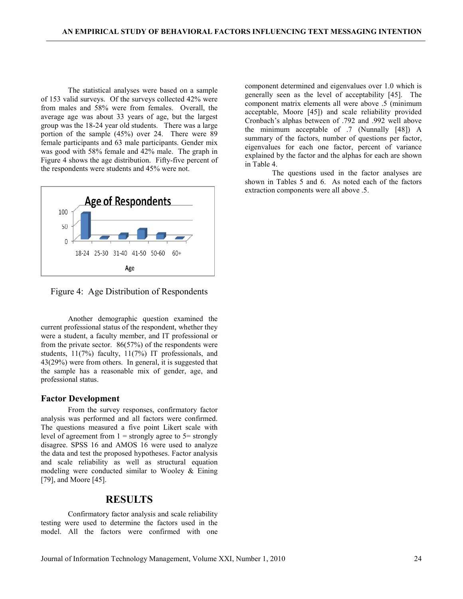The statistical analyses were based on a sample of 153 valid surveys. Of the surveys collected 42% were from males and 58% were from females. Overall, the average age was about 33 years of age, but the largest group was the 18-24 year old students. There was a large portion of the sample (45%) over 24. There were 89 female participants and 63 male participants. Gender mix was good with 58% female and 42% male. The graph in Figure 4 shows the age distribution. Fifty-five percent of the respondents were students and 45% were not.



Figure 4: Age Distribution of Respondents

Another demographic question examined the current professional status of the respondent, whether they were a student, a faculty member, and IT professional or from the private sector. 86(57%) of the respondents were students, 11(7%) faculty, 11(7%) IT professionals, and 43(29%) were from others. In general, it is suggested that the sample has a reasonable mix of gender, age, and professional status.

#### Factor Development

From the survey responses, confirmatory factor analysis was performed and all factors were confirmed. The questions measured a five point Likert scale with level of agreement from  $1 =$  strongly agree to  $5 =$  strongly disagree. SPSS 16 and AMOS 16 were used to analyze the data and test the proposed hypotheses. Factor analysis and scale reliability as well as structural equation modeling were conducted similar to Wooley & Eining [79], and Moore [45].

### RESULTS

Confirmatory factor analysis and scale reliability testing were used to determine the factors used in the model. All the factors were confirmed with one component determined and eigenvalues over 1.0 which is generally seen as the level of acceptability [45]. The component matrix elements all were above .5 (minimum acceptable, Moore [45]) and scale reliability provided Cronbach's alphas between of .792 and .992 well above the minimum acceptable of .7 (Nunnally [48]) A summary of the factors, number of questions per factor, eigenvalues for each one factor, percent of variance explained by the factor and the alphas for each are shown in Table 4.

The questions used in the factor analyses are shown in Tables 5 and 6. As noted each of the factors extraction components were all above .5.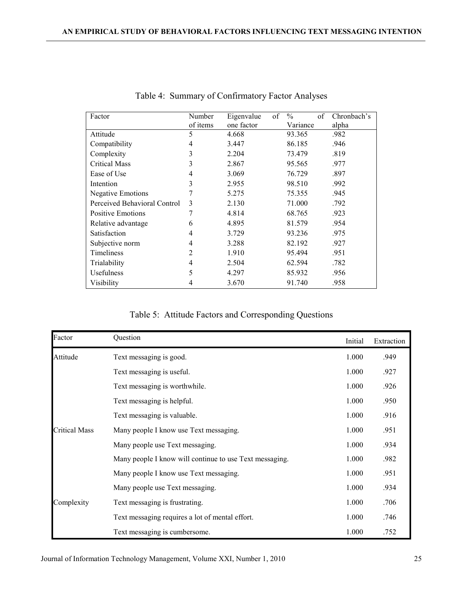| Factor                       | Number   | of<br>Eigenvalue | $\frac{0}{0}$<br>of | Chronbach's |
|------------------------------|----------|------------------|---------------------|-------------|
|                              | of items | one factor       | Variance            | alpha       |
| Attitude                     | 5        | 4.668            | 93.365              | .982        |
| Compatibility                | 4        | 3.447            | 86.185              | .946        |
| Complexity                   | 3        | 2.204            | 73.479              | .819        |
| <b>Critical Mass</b>         | 3        | 2.867            | 95.565              | .977        |
| Ease of Use                  | 4        | 3.069            | 76.729              | .897        |
| Intention                    | 3        | 2.955            | 98.510              | .992        |
| <b>Negative Emotions</b>     | 7        | 5.275            | 75.355              | .945        |
| Perceived Behavioral Control | 3        | 2.130            | 71.000              | .792        |
| <b>Positive Emotions</b>     | 7        | 4.814            | 68.765              | .923        |
| Relative advantage           | 6        | 4.895            | 81.579              | .954        |
| Satisfaction                 | 4        | 3.729            | 93.236              | .975        |
| Subjective norm              | 4        | 3.288            | 82.192              | .927        |
| Timeliness                   | 2        | 1.910            | 95.494              | .951        |
| Trialability                 | 4        | 2.504            | 62.594              | .782        |
| Usefulness                   | 5        | 4.297            | 85.932              | .956        |
| Visibility                   | 4        | 3.670            | 91.740              | .958        |

Table 4: Summary of Confirmatory Factor Analyses

| Table 5: Attitude Factors and Corresponding Questions |  |  |
|-------------------------------------------------------|--|--|
|-------------------------------------------------------|--|--|

| Factor        | Question                                                | Initial | Extraction |
|---------------|---------------------------------------------------------|---------|------------|
| Attitude      | Text messaging is good.                                 | 1.000   | .949       |
|               | Text messaging is useful.                               | 1.000   | .927       |
|               | Text messaging is worthwhile.                           | 1.000   | .926       |
|               | Text messaging is helpful.                              | 1.000   | .950       |
|               | Text messaging is valuable.                             | 1.000   | .916       |
| Critical Mass | Many people I know use Text messaging.                  | 1.000   | .951       |
|               | Many people use Text messaging.                         | 1.000   | .934       |
|               | Many people I know will continue to use Text messaging. | 1.000   | .982       |
|               | Many people I know use Text messaging.                  | 1.000   | .951       |
|               | Many people use Text messaging.                         | 1.000   | .934       |
| Complexity    | Text messaging is frustrating.                          | 1.000   | .706       |
|               | Text messaging requires a lot of mental effort.         | 1.000   | .746       |
|               | Text messaging is cumbersome.                           | 1.000   | .752       |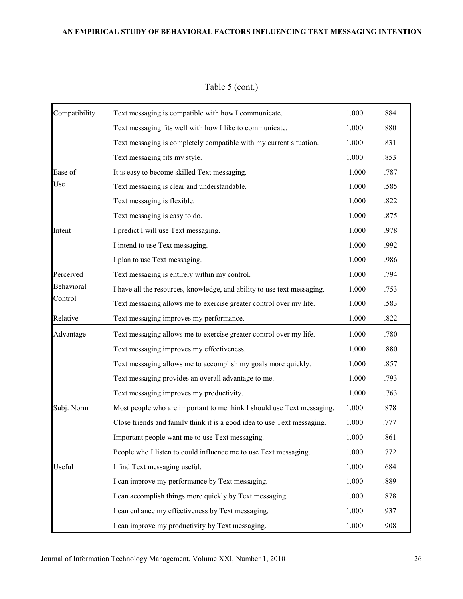| Compatibility | Text messaging is compatible with how I communicate.                    | 1.000 | .884 |
|---------------|-------------------------------------------------------------------------|-------|------|
|               | Text messaging fits well with how I like to communicate.                | 1.000 | .880 |
|               | Text messaging is completely compatible with my current situation.      | 1.000 | .831 |
|               | Text messaging fits my style.                                           | 1.000 | .853 |
| Ease of       | It is easy to become skilled Text messaging.                            | 1.000 | .787 |
| Use           | Text messaging is clear and understandable.                             | 1.000 | .585 |
|               | Text messaging is flexible.                                             | 1.000 | .822 |
|               | Text messaging is easy to do.                                           | 1.000 | .875 |
| Intent        | I predict I will use Text messaging.                                    | 1.000 | .978 |
|               | I intend to use Text messaging.                                         | 1.000 | .992 |
|               | I plan to use Text messaging.                                           | 1.000 | .986 |
| Perceived     | Text messaging is entirely within my control.                           | 1.000 | .794 |
| Behavioral    | I have all the resources, knowledge, and ability to use text messaging. | 1.000 | .753 |
| Control       | Text messaging allows me to exercise greater control over my life.      | 1.000 | .583 |
| Relative      | Text messaging improves my performance.                                 | 1.000 | .822 |
| Advantage     | Text messaging allows me to exercise greater control over my life.      | 1.000 | .780 |
|               | Text messaging improves my effectiveness.                               | 1.000 | .880 |
|               | Text messaging allows me to accomplish my goals more quickly.           | 1.000 | .857 |
|               | Text messaging provides an overall advantage to me.                     | 1.000 | .793 |
|               | Text messaging improves my productivity.                                | 1.000 | .763 |
| Subj. Norm    | Most people who are important to me think I should use Text messaging.  | 1.000 | .878 |
|               | Close friends and family think it is a good idea to use Text messaging. | 1.000 | .777 |
|               | Important people want me to use Text messaging.                         | 1.000 | .861 |
|               | People who I listen to could influence me to use Text messaging.        | 1.000 | .772 |
| Useful        | I find Text messaging useful.                                           | 1.000 | .684 |
|               | I can improve my performance by Text messaging.                         | 1.000 | .889 |
|               | I can accomplish things more quickly by Text messaging.                 | 1.000 | .878 |
|               | I can enhance my effectiveness by Text messaging.                       | 1.000 | .937 |
|               | I can improve my productivity by Text messaging.                        | 1.000 | .908 |

Table 5 (cont.)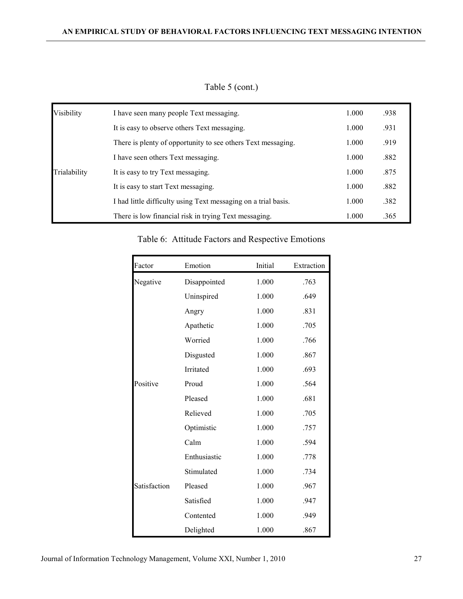| Visibility   | I have seen many people Text messaging.                        | 1.000 | .938 |
|--------------|----------------------------------------------------------------|-------|------|
|              | It is easy to observe others Text messaging.                   | 1.000 | .931 |
|              | There is plenty of opportunity to see others Text messaging.   | 1.000 | .919 |
|              | I have seen others Text messaging.                             | 1.000 | .882 |
| Trialability | It is easy to try Text messaging.                              | 1.000 | .875 |
|              | It is easy to start Text messaging.                            | 1.000 | .882 |
|              | I had little difficulty using Text messaging on a trial basis. | 1.000 | .382 |
|              | There is low financial risk in trying Text messaging.          | 1.000 | .365 |

Table 5 (cont.)

## Table 6: Attitude Factors and Respective Emotions

| Factor       | Emotion      | Initial | Extraction |
|--------------|--------------|---------|------------|
| Negative     | Disappointed | 1.000   | .763       |
|              | Uninspired   | 1.000   | .649       |
|              | Angry        | 1.000   | .831       |
|              | Apathetic    | 1.000   | .705       |
|              | Worried      | 1.000   | .766       |
|              | Disgusted    | 1.000   | .867       |
|              | Irritated    | 1.000   | .693       |
| Positive     | Proud        | 1.000   | .564       |
|              | Pleased      | 1.000   | .681       |
|              | Relieved     | 1.000   | .705       |
|              | Optimistic   | 1.000   | .757       |
|              | Calm         | 1.000   | .594       |
|              | Enthusiastic | 1.000   | .778       |
|              | Stimulated   | 1.000   | .734       |
| Satisfaction | Pleased      | 1.000   | .967       |
|              | Satisfied    | 1.000   | .947       |
|              | Contented    | 1.000   | .949       |
|              | Delighted    | 1.000   | .867       |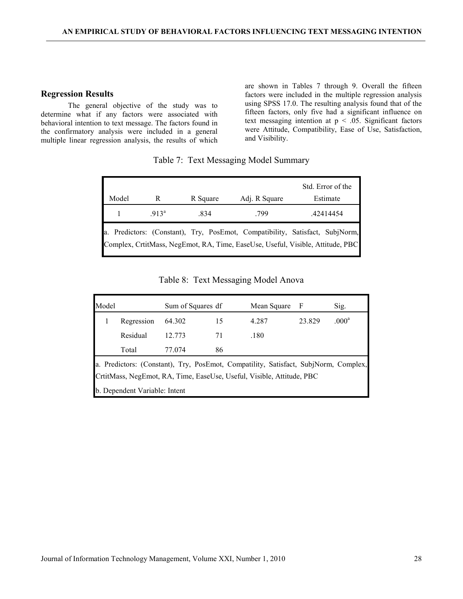#### Regression Results

The general objective of the study was to determine what if any factors were associated with behavioral intention to text message. The factors found in the confirmatory analysis were included in a general multiple linear regression analysis, the results of which are shown in Tables 7 through 9. Overall the fifteen factors were included in the multiple regression analysis using SPSS 17.0. The resulting analysis found that of the fifteen factors, only five had a significant influence on text messaging intention at  $p < .05$ . Significant factors were Attitude, Compatibility, Ease of Use, Satisfaction, and Visibility.

#### Table 7: Text Messaging Model Summary

|       |         |          |               | Std. Error of the                                                                                                                                              |
|-------|---------|----------|---------------|----------------------------------------------------------------------------------------------------------------------------------------------------------------|
| Model |         | R Square | Adj. R Square | Estimate                                                                                                                                                       |
|       | $913^a$ | .834     | .799          | .42414454                                                                                                                                                      |
|       |         |          |               | a. Predictors: (Constant), Try, PosEmot, Compatibility, Satisfact, SubjNorm,<br>Complex, CrtitMass, NegEmot, RA, Time, EaseUse, Useful, Visible, Attitude, PBC |

### Table 8: Text Messaging Model Anova

| Model                                                                                                                                                        |                               | Sum of Squares df |    | Mean Square | - F    | Sig.              |  |
|--------------------------------------------------------------------------------------------------------------------------------------------------------------|-------------------------------|-------------------|----|-------------|--------|-------------------|--|
|                                                                                                                                                              | Regression                    | 64.302            | 15 | 4.287       | 23.829 | .000 <sup>a</sup> |  |
|                                                                                                                                                              | Residual                      | 12.773            | 71 | .180        |        |                   |  |
|                                                                                                                                                              | Total                         | 77.074            | 86 |             |        |                   |  |
| a. Predictors: (Constant), Try, PosEmot, Compatility, Satisfact, SubjNorm, Complex,<br>CrtitMass, NegEmot, RA, Time, EaseUse, Useful, Visible, Attitude, PBC |                               |                   |    |             |        |                   |  |
|                                                                                                                                                              | b. Dependent Variable: Intent |                   |    |             |        |                   |  |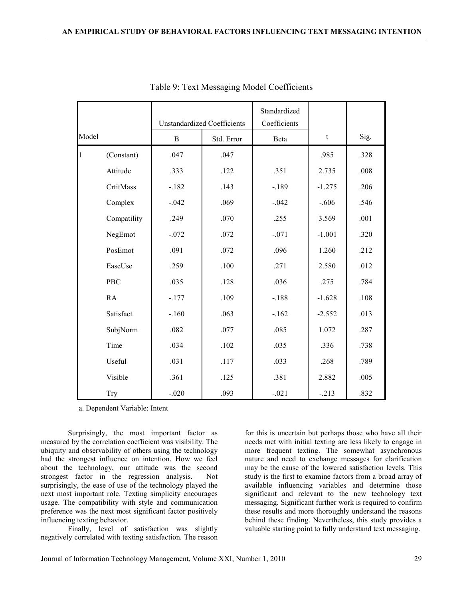|                |             |              | <b>Unstandardized Coefficients</b> | Standardized<br>Coefficients |          |      |
|----------------|-------------|--------------|------------------------------------|------------------------------|----------|------|
| Model          |             | $\, {\bf B}$ | Std. Error                         | Beta                         | t        | Sig. |
| $\overline{1}$ | (Constant)  | .047         | .047                               |                              | .985     | .328 |
|                | Attitude    | .333         | .122                               | .351                         | 2.735    | .008 |
|                | CrtitMass   | $-182$       | .143                               | $-.189$                      | $-1.275$ | .206 |
|                | Complex     | $-0.042$     | .069                               | $-.042$                      | $-.606$  | .546 |
|                | Compatility | .249         | .070                               | .255                         | 3.569    | .001 |
|                | NegEmot     | $-0.072$     | .072                               | $-.071$                      | $-1.001$ | .320 |
|                | PosEmot     | .091         | .072                               | .096                         | 1.260    | .212 |
|                | EaseUse     | .259         | .100                               | .271                         | 2.580    | .012 |
|                | PBC         | .035         | .128                               | .036                         | .275     | .784 |
|                | <b>RA</b>   | $-.177$      | .109                               | $-.188$                      | $-1.628$ | .108 |
|                | Satisfact   | $-160$       | .063                               | $-.162$                      | $-2.552$ | .013 |
|                | SubjNorm    | .082         | .077                               | .085                         | 1.072    | .287 |
|                | Time        | .034         | .102                               | .035                         | .336     | .738 |
|                | Useful      | .031         | .117                               | .033                         | .268     | .789 |
|                | Visible     | .361         | .125                               | .381                         | 2.882    | .005 |
|                | <b>Try</b>  | $-.020$      | .093                               | $-.021$                      | $-.213$  | .832 |

Table 9: Text Messaging Model Coefficients

a. Dependent Variable: Intent

Surprisingly, the most important factor as measured by the correlation coefficient was visibility. The ubiquity and observability of others using the technology had the strongest influence on intention. How we feel about the technology, our attitude was the second strongest factor in the regression analysis. Not surprisingly, the ease of use of the technology played the next most important role. Texting simplicity encourages usage. The compatibility with style and communication preference was the next most significant factor positively influencing texting behavior.

Finally, level of satisfaction was slightly negatively correlated with texting satisfaction. The reason

for this is uncertain but perhaps those who have all their needs met with initial texting are less likely to engage in more frequent texting. The somewhat asynchronous nature and need to exchange messages for clarification may be the cause of the lowered satisfaction levels. This study is the first to examine factors from a broad array of available influencing variables and determine those significant and relevant to the new technology text messaging. Significant further work is required to confirm these results and more thoroughly understand the reasons behind these finding. Nevertheless, this study provides a valuable starting point to fully understand text messaging.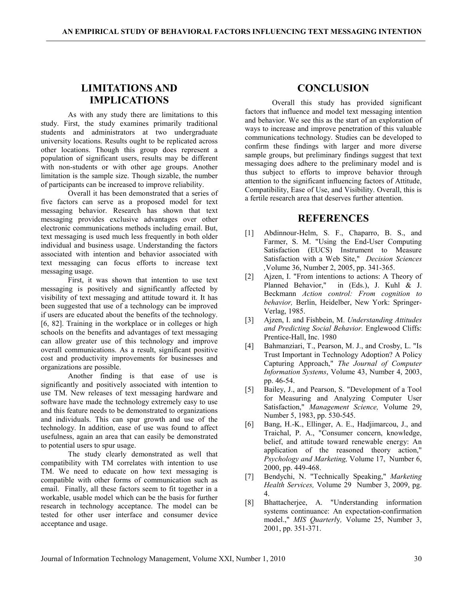## LIMITATIONS AND IMPLICATIONS

As with any study there are limitations to this study. First, the study examines primarily traditional students and administrators at two undergraduate university locations. Results ought to be replicated across other locations. Though this group does represent a population of significant users, results may be different with non-students or with other age groups. Another limitation is the sample size. Though sizable, the number of participants can be increased to improve reliability.

Overall it has been demonstrated that a series of five factors can serve as a proposed model for text messaging behavior. Research has shown that text messaging provides exclusive advantages over other electronic communications methods including email. But, text messaging is used much less frequently in both older individual and business usage. Understanding the factors associated with intention and behavior associated with text messaging can focus efforts to increase text messaging usage.

First, it was shown that intention to use text messaging is positively and significantly affected by visibility of text messaging and attitude toward it. It has been suggested that use of a technology can be improved if users are educated about the benefits of the technology. [6, 82]. Training in the workplace or in colleges or high schools on the benefits and advantages of text messaging can allow greater use of this technology and improve overall communications. As a result, significant positive cost and productivity improvements for businesses and organizations are possible.

Another finding is that ease of use is significantly and positively associated with intention to use TM. New releases of text messaging hardware and software have made the technology extremely easy to use and this feature needs to be demonstrated to organizations and individuals. This can spur growth and use of the technology. In addition, ease of use was found to affect usefulness, again an area that can easily be demonstrated to potential users to spur usage.

The study clearly demonstrated as well that compatibility with TM correlates with intention to use TM. We need to educate on how text messaging is compatible with other forms of communication such as email. Finally, all these factors seem to fit together in a workable, usable model which can be the basis for further research in technology acceptance. The model can be tested for other user interface and consumer device acceptance and usage.

### **CONCLUSION**

Overall this study has provided significant factors that influence and model text messaging intention and behavior. We see this as the start of an exploration of ways to increase and improve penetration of this valuable communications technology. Studies can be developed to confirm these findings with larger and more diverse sample groups, but preliminary findings suggest that text messaging does adhere to the preliminary model and is thus subject to efforts to improve behavior through attention to the significant influencing factors of Attitude, Compatibility, Ease of Use, and Visibility. Overall, this is a fertile research area that deserves further attention.

### **REFERENCES**

- [1] Abdinnour-Helm, S. F., Chaparro, B. S., and Farmer, S. M. "Using the End-User Computing Satisfaction (EUCS) Instrument to Measure Satisfaction with a Web Site," Decision Sciences ,Volume 36, Number 2, 2005, pp. 341-365.
- [2] Ajzen, I. "From intentions to actions: A Theory of Planned Behavior," in (Eds.), J. Kuhl & J. Beckmann Action control: From cognition to behavior, Berlin, Heidelber, New York: Springer-Verlag, 1985.
- [3] Ajzen, I. and Fishbein, M. Understanding Attitudes and Predicting Social Behavior. Englewood Cliffs: Prentice-Hall, Inc. 1980
- [4] Bahmanziari, T., Pearson, M. J., and Crosby, L. "Is Trust Important in Technology Adoption? A Policy Capturing Approach," The Journal of Computer Information Systems, Volume 43, Number 4, 2003, pp. 46-54.
- [5] Bailey, J., and Pearson, S. "Development of a Tool for Measuring and Analyzing Computer User Satisfaction," Management Science, Volume 29, Number 5, 1983, pp. 530-545.
- [6] Bang, H.-K., Ellinger, A. E., Hadjimarcou, J., and Traichal, P. A., "Consumer concern, knowledge, belief, and attitude toward renewable energy: An application of the reasoned theory action," Psychology and Marketing, Volume 17, Number 6, 2000, pp. 449-468.
- [7] Bendychi, N. "Technically Speaking," Marketing Health Services, Volume 29 Number 3, 2009, pg. 4.
- [8] Bhattacherjee, A. "Understanding information systems continuance: An expectation-confirmation model.," MIS Quarterly, Volume 25, Number 3, 2001, pp. 351-371.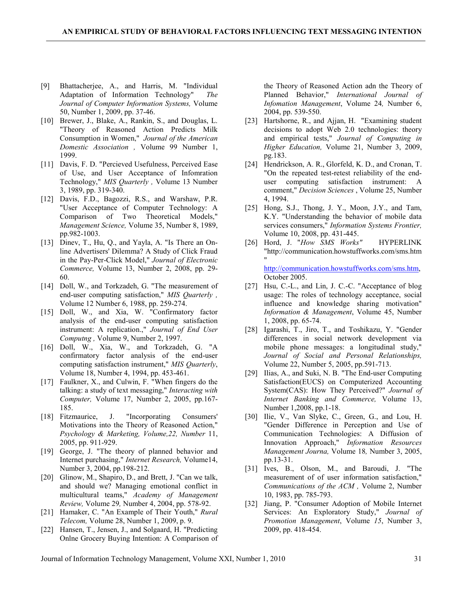- [9] Bhattacherjee, A., and Harris, M. "Individual Adaptation of Information Technology" The Journal of Computer Information Systems, Volume 50, Number 1, 2009, pp. 37-46.
- [10] Brewer, J., Blake, A., Rankin, S., and Douglas, L. "Theory of Reasoned Action Predicts Milk Consumption in Women," Journal of the American Domestic Association , Volume 99 Number 1, 1999.
- [11] Davis, F. D. "Percieved Usefulness, Perceived Ease of Use, and User Acceptance of Infomration Technology," MIS Quarterly , Volume 13 Number 3, 1989, pp. 319-340.
- [12] Davis, F.D., Bagozzi, R.S., and Warshaw, P.R. "User Acceptance of Computer Technology: A Comparison of Two Theoretical Models," Management Science, Volume 35, Number 8, 1989, pp.982-1003.
- [13] Dinev, T., Hu, Q., and Yayla, A. "Is There an Online Advertisers' Dilemma? A Study of Click Fraud in the Pay-Per-Click Model," Journal of Electronic Commerce, Volume 13, Number 2, 2008, pp. 29- 60.
- [14] Doll, W., and Torkzadeh, G. "The measurement of end-user computing satisfaction," MIS Quarterly, Volume 12 Number 6, 1988, pp. 259-274.
- [15] Doll, W., and Xia, W. "Confirmatory factor analysis of the end-user computing satisfaction instrument: A replication.," Journal of End User Computng , Volume 9, Number 2, 1997.
- [16] Doll, W., Xia, W., and Torkzadeh, G. "A confirmatory factor analysis of the end-user computing satisfaction instrument," MIS Quarterly, Volume 18, Number 4, 1994, pp. 453-461.
- [17] Faulkner, X., and Culwin, F. "When fingers do the talking: a study of text messaging," Interacting with Computer, Volume 17, Number 2, 2005, pp.167- 185.
- [18] Fitzmaurice, J. "Incorporating Consumers' Motivations into the Theory of Reasoned Action," Psychology & Marketing, Volume,22, Number 11, 2005, pp. 911-929.
- [19] George, J. "The theory of planned behavior and Internet purchasing," Internet Research, Volume14, Number 3, 2004, pp.198-212.
- [20] Glinow, M., Shapiro, D., and Brett, J. "Can we talk, and should we? Managing emotional conflict in multicultural teams," Academy of Management Review, Volume 29, Number 4, 2004, pp. 578-92.
- [21] Hamaker, C. "An Example of Their Youth," Rural Telecom, Volume 28, Number 1, 2009, p. 9.
- [22] Hansen, T., Jensen, J., and Solgaard, H. "Predicting Onlne Grocery Buying Intention: A Comparison of

the Theory of Reasoned Action adn the Theory of Planned Behavior," International Journal of Infomation Management, Volume 24, Number 6, 2004, pp. 539-550.

- [23] Hartshorne, R., and Ajjan, H. "Examining student decisions to adopt Web 2.0 technologies: theory and empirical tests," Journal of Computing in Higher Education, Volume 21, Number 3, 2009, pg.183.
- [24] Hendrickson, A. R., Glorfeld, K. D., and Cronan, T. "On the repeated test-retest reliability of the enduser computing satisfaction instrument: A comment," Decision Sciences , Volume 25, Number 4, 1994.
- [25] Hong, S.J., Thong, J. Y., Moon, J.Y., and Tam, K.Y. "Understanding the behavior of mobile data services consumers," Information Systems Frontier, Volume 10, 2008, pp. 431-445.
- [26] Hord, J. "How SMS Works" HYPERLINK "http://communication.howstuffworks.com/sms.htm "

http://communication.howstuffworks.com/sms.htm, October 2005.

- [27] Hsu, C.-L., and Lin, J. C.-C. "Acceptance of blog usage: The roles of technology acceptance, social influence and knowledge sharing motivation" Information & Management, Volume 45, Number 1, 2008, pp. 65-74.
- [28] Igarashi, T., Jiro, T., and Toshikazu, Y. "Gender differences in social network development via mobile phone messages: a longitudinal study," Journal of Social and Personal Relationships, Volume 22, Number 5, 2005, pp.591-713.
- [29] Ilias, A., and Suki, N. B. "The End-user Computing Satisfaction(EUCS) on Computerized Accounting System(CAS): How They Perceived?" Journal of Internet Banking and Commerce, Volume 13, Number 1,2008, pp.1-18.
- [30] Ilie, V., Van Slyke, C., Green, G., and Lou, H. "Gender Difference in Perception and Use of Communication Technologies: A Diffusion of Innovation Approach," Information Resources Management Journa, Volume 18, Number 3, 2005, pp.13-31.
- [31] Ives, B., Olson, M., and Baroudi, J. "The measurement of of user information satisfaction," Communications of the ACM , Volume 2, Number 10, 1983, pp. 785-793.
- [32] Jiang, P. "Consumer Adoption of Mobile Internet Services: An Exploratory Study," Journal of Promotion Management, Volume 15, Number 3, 2009, pp. 418-454.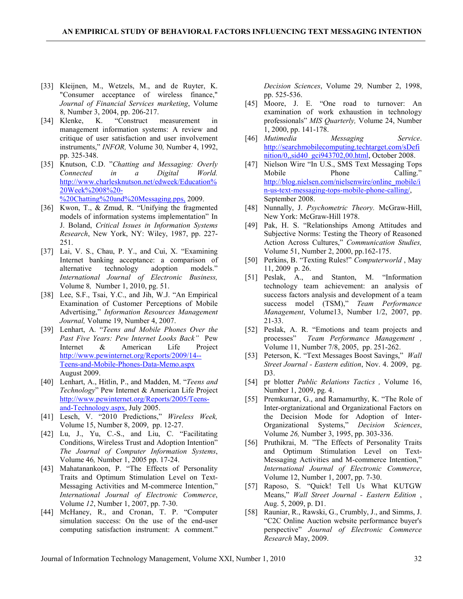- [33] Kleijnen, M., Wetzels, M., and de Ruyter, K. "Consumer acceptance of wireless finance," Journal of Financial Services marketing, Volume 8, Number 3, 2004, pp. 206-217.<br>[34] Klenke, K. "Construct
- K. "Construct measurement in management information systems: A review and critique of user satisfaction and user involvement instruments," INFOR, Volume 30, Number 4, 1992, pp. 325-348.
- [35] Knutson, C.D. "Chatting and Messaging: Overly Connected in a Digital World. http://www.charlesknutson.net/edweek/Education% 20Week%2008%20- %20Chatting%20and%20Messaging.pps, 2009.
- [36] Kwon, T., & Zmud, R. "Unifying the fragmented models of information systems implementation" In J. Boland, Critical Issues in Information Systems Research, New York, NY: Wiley, 1987, pp. 227- 251.
- [37] Lai, V. S., Chau, P. Y., and Cui, X. "Examining Internet banking acceptance: a comparison of alternative technology adoption models." International Journal of Electronic Business, Volume 8, Number 1, 2010, pg. 51.
- [38] Lee, S.F., Tsai, Y.C., and Jih, W.J. "An Empirical Examination of Customer Perceptions of Mobile Advertising," Information Resources Management Journal, Volume 19, Number 4, 2007.
- [39] Lenhart, A. "Teens and Mobile Phones Over the Past Five Years: Pew Internet Looks Back" Pew Internet & American Life Project http://www.pewinternet.org/Reports/2009/14-- Teens-and-Mobile-Phones-Data-Memo.aspx August 2009.
- [40] Lenhart, A., Hitlin, P., and Madden, M. "Teens and Technology" Pew Internet & American Life Project http://www.pewinternet.org/Reports/2005/Teensand-Technology.aspx, July 2005.
- [41] Lesch, V. "2010 Predictions," Wireless Week, Volume 15, Number 8, 2009, pp. 12-27.
- [42] Lu, J., Yu, C.-S., and Liu, C. "Facilitating Conditions, Wireless Trust and Adoption Intention" The Journal of Computer Information Systems, Volume 46, Number 1, 2005 pp. 17-24.
- [43] Mahatanankoon, P. "The Effects of Personality Traits and Optimum Stimulation Level on Text-Messaging Activities and M-commerce Intention," International Journal of Electronic Commerce, Volume 12, Number 1, 2007, pp. 7-30.
- [44] McHaney, R., and Cronan, T. P. "Computer simulation success: On the use of the end-user computing satisfaction instrument: A comment."

Decision Sciences, Volume 29, Number 2, 1998, pp. 525-536.

- [45] Moore, J. E. "One road to turnover: An examination of work exhaustion in technology professionals" MIS Quarterly, Volume 24, Number 1, 2000, pp. 141-178.
- [46] Mutimedia Messaging Service. http://searchmobilecomputing.techtarget.com/sDefi nition/0,,sid40\_gci943702,00.html, October 2008.
- [47] Nielson Wire "In U.S., SMS Text Messaging Tops Mobile Phone Calling." http://blog.nielsen.com/nielsenwire/online\_mobile/i n-us-text-messaging-tops-mobile-phone-calling/, September 2008.
- [48] Nunnally, J. Psychometric Theory. McGraw-Hill, New York: McGraw-Hill 1978.
- [49] Pak, H. S. "Relationships Among Attitudes and Subjective Norms: Testing the Theory of Reasoned Action Across Cultures," Communication Studies, Volume 51, Number 2, 2000, pp.162-175.
- [50] Perkins, B. "Texting Rules!" Computerworld, May 11, 2009 p. 26.
- [51] Peslak, A., and Stanton, M. "Information technology team achievement: an analysis of success factors analysis and development of a team success model (TSM)," Team Performance Management, Volume13, Number 1/2, 2007, pp. 21-33.
- [52] Peslak, A. R. "Emotions and team projects and processes" Team Performance Management , Volume 11, Number 7/8, 2005, pp. 251-262.
- [53] Peterson, K. "Text Messages Boost Savings," Wall Street Journal - Eastern edition, Nov. 4. 2009, pg. D3.
- [54] pr blotter *Public Relations Tactics*, Volume 16, Number 1, 2009, pg. 4.
- [55] Premkumar, G., and Ramamurthy, K. "The Role of Inter-orgtanizational and Organizational Factors on the Decision Mode for Adoption of Inter-Organizational Systems," Decision Sciences, Volume 26, Number 3, 1995, pp. 303-336.
- [56] Pruthikrai, M. "The Effects of Personality Traits and Optimum Stimulation Level on Text-Messaging Activities and M-commerce Intention," International Journal of Electronic Commerce, Volume 12, Number 1, 2007, pp. 7-30.
- [57] Raposo, S. "Quick! Tell Us What KUTGW Means," Wall Street Journal - Eastern Edition , Aug. 5, 2009, p. D1.
- [58] Rauniar, R., Rawski, G., Crumbly, J., and Simms, J. "C2C Online Auction website performance buyer's perspective" Journal of Electronic Commerce Research May, 2009.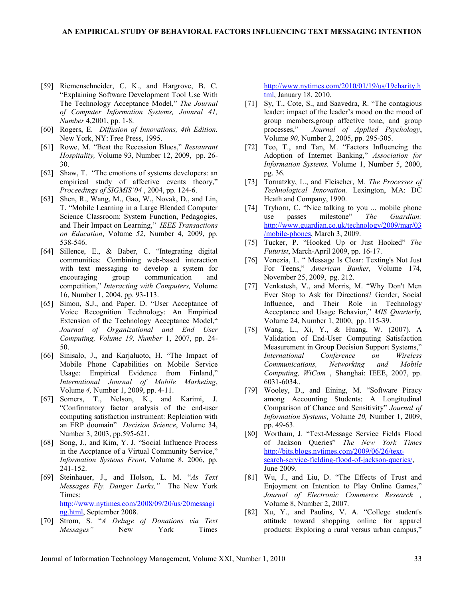- [59] Riemenschneider, C. K., and Hargrove, B. C. "Explaining Software Development Tool Use With The Technology Acceptance Model," The Journal of Computer Information Systems, Jounral 41, Number 4,2001, pp. 1-8.
- [60] Rogers, E. Diffusion of Innovations, 4th Edition. New York, NY: Free Press, 1995.
- [61] Rowe, M. "Beat the Recession Blues," Restaurant Hospitality, Volume 93, Number 12, 2009, pp. 26- 30.
- [62] Shaw, T. "The emotions of systems developers: an empirical study of affective events theory," Proceedings of SIGMIS'04, 2004, pp. 124-6.
- [63] Shen, R., Wang, M., Gao, W., Novak, D., and Lin, T. "Mobile Learning in a Large Blended Computer Science Classroom: System Function, Pedagogies, and Their Impact on Learning," IEEE Transactions on Education, Volume 52, Number 4, 2009, pp. 538-546.
- [64] Sillence, E., & Baber, C. "Integrating digital communities: Combining web-based interaction with text messaging to develop a system for encouraging group communication and competition," Interacting with Computers, Volume 16, Number 1, 2004, pp. 93-113.
- [65] Simon, S.J., and Paper, D. "User Acceptance of Voice Recognition Technology: An Empirical Extension of the Technology Acceptance Model," Journal of Organizational and End User Computing, Volume 19, Number 1, 2007, pp. 24- 50.
- [66] Sinisalo, J., and Karjaluoto, H. "The Impact of Mobile Phone Capabilities on Mobile Service Usage: Empirical Evidence from Finland," International Journal of Mobile Marketing, Volume 4, Number 1, 2009, pp. 4-11.
- [67] Somers, T., Nelson, K., and Karimi, J. "Confirmatory factor analysis of the end-user computing satisfaction instrument: Replciation with an ERP doomain" Decision Science, Volume 34, Number 3, 2003, pp.595-621.
- [68] Song, J., and Kim, Y. J. "Social Influence Process in the Accptance of a Virtual Community Service," Information Systems Front, Volume 8, 2006, pp. 241-152.
- [69] Steinhauer, J., and Holson, L. M. "As Text Messages Fly, Danger Lurks," The New York Times: http://www.nytimes.com/2008/09/20/us/20messagi ng.html, September 2008.
- [70] Strom, S. "A Deluge of Donations via Text Messages" New York Times

http://www.nytimes.com/2010/01/19/us/19charity.h tml, January 18, 2010.

- [71] Sy, T., Cote, S., and Saavedra, R. "The contagious leader: impact of the leader's mood on the mood of group members,group affective tone, and group processes," Journal of Applied Psychology, Volume 90, Number 2, 2005, pp. 295-305.
- [72] Teo, T., and Tan, M. "Factors Influencing the Adoption of Internet Banking," Association for Information Systems, Volume 1, Number 5, 2000, pg. 36.
- [73] Tornatzky, L., and Fleischer, M. The Processes of Technological Innovation. Lexington, MA: DC Heath and Company, 1990.
- [74] Tryhorn, C. "Nice talking to you ... mobile phone use passes milestone" The Guardian: http://www.guardian.co.uk/technology/2009/mar/03 /mobile-phones, March 3, 2009.
- [75] Tucker, P. "Hooked Up or Just Hooked" The Futurist, March-April 2009, pp. 16-17.
- [76] Venezia, L. " Message Is Clear: Texting's Not Just For Teens," American Banker, Volume 174, November 25, 2009, pg. 212.
- [77] Venkatesh, V., and Morris, M. "Why Don't Men Ever Stop to Ask for Directions? Gender, Social Influence, and Their Role in Technology Acceptance and Usage Behavior," MIS Quarterly, Volume 24, Number 1, 2000, pp. 115-39.
- [78] Wang, L., Xi, Y., & Huang, W. (2007). A Validation of End-User Computing Satisfaction Measurement in Group Decision Support Systems," International Conference on Wireless Communications, Networking and Mobile Computing, WiCom , Shanghai: IEEE, 2007, pp. 6031-6034..
- [79] Wooley, D., and Eining, M. "Software Piracy among Accounting Students: A Longitudinal Comparison of Chance and Sensitivity" Journal of Information Systems, Volume 20, Number 1, 2009, pp. 49-63.
- [80] Wortham, J. "Text-Message Service Fields Flood of Jackson Queries" The New York Times http://bits.blogs.nytimes.com/2009/06/26/textsearch-service-fielding-flood-of-jackson-queries/, June 2009.
- [81] Wu, J., and Liu, D. "The Effects of Trust and Enjoyment on Intention to Play Online Games," Journal of Electronic Commerce Research , Volume 8, Number 2, 2007.
- [82] Xu, Y., and Paulins, V. A. "College student's attitude toward shopping online for apparel products: Exploring a rural versus urban campus,"